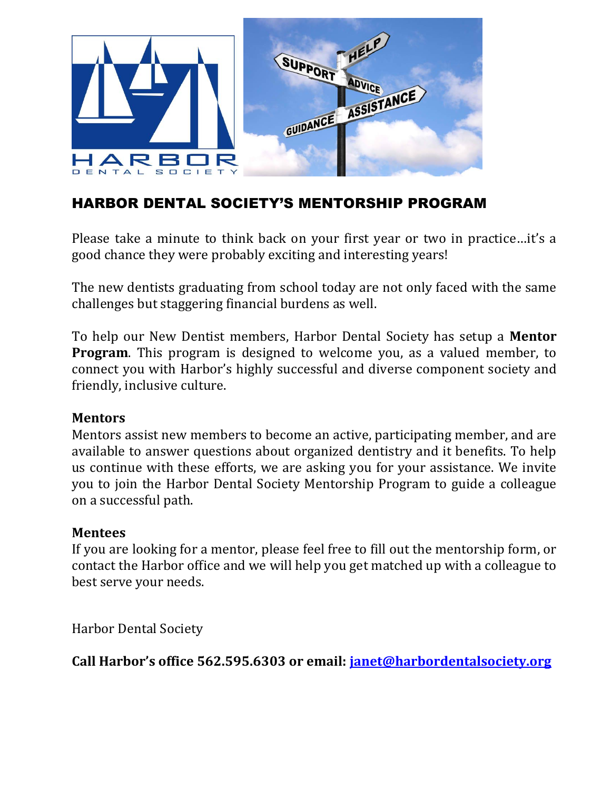

# HARBOR DENTAL SOCIETY'S MENTORSHIP PROGRAM

Please take a minute to think back on your first year or two in practice…it's a good chance they were probably exciting and interesting years!

The new dentists graduating from school today are not only faced with the same challenges but staggering financial burdens as well.

To help our New Dentist members, Harbor Dental Society has setup a **Mentor Program**. This program is designed to welcome you, as a valued member, to connect you with Harbor's highly successful and diverse component society and friendly, inclusive culture.

#### **Mentors**

Mentors assist new members to become an active, participating member, and are available to answer questions about organized dentistry and it benefits. To help us continue with these efforts, we are asking you for your assistance. We invite you to join the Harbor Dental Society Mentorship Program to guide a colleague on a successful path.

#### **Mentees**

If you are looking for a mentor, please feel free to fill out the mentorship form, or contact the Harbor office and we will help you get matched up with a colleague to best serve your needs.

Harbor Dental Society

**Call Harbor's office 562.595.6303 or email: [janet@harbordentalsociety.org](mailto:janet@harbordentalsociety.org)**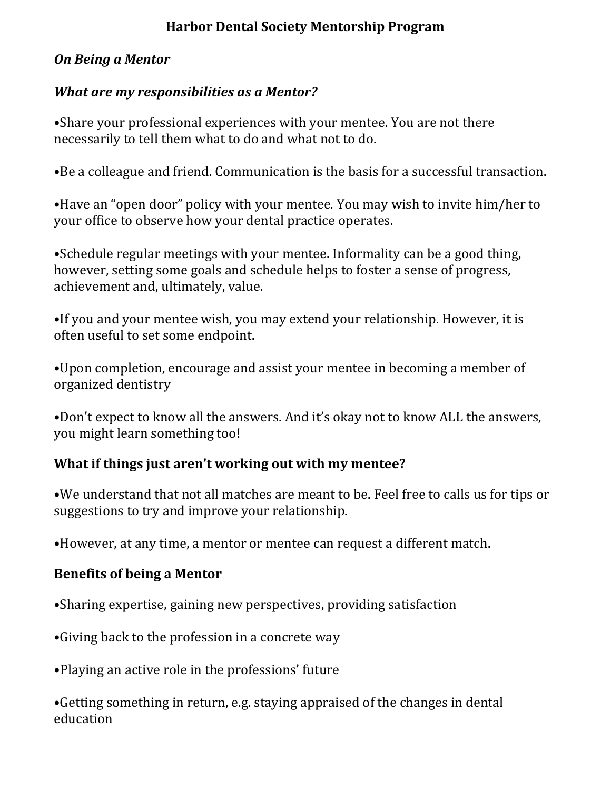## **Harbor Dental Society Mentorship Program**

### *On Being a Mentor*

### *What are my responsibilities as a Mentor?*

•Share your professional experiences with your mentee. You are not there necessarily to tell them what to do and what not to do.

•Be a colleague and friend. Communication is the basis for a successful transaction.

•Have an "open door" policy with your mentee. You may wish to invite him/her to your office to observe how your dental practice operates.

•Schedule regular meetings with your mentee. Informality can be a good thing, however, setting some goals and schedule helps to foster a sense of progress, achievement and, ultimately, value.

•If you and your mentee wish, you may extend your relationship. However, it is often useful to set some endpoint.

•Upon completion, encourage and assist your mentee in becoming a member of organized dentistry

•Don't expect to know all the answers. And it's okay not to know ALL the answers, you might learn something too!

#### **What if things just aren't working out with my mentee?**

•We understand that not all matches are meant to be. Feel free to calls us for tips or suggestions to try and improve your relationship.

•However, at any time, a mentor or mentee can request a different match.

#### **Benefits of being a Mentor**

•Sharing expertise, gaining new perspectives, providing satisfaction

•Giving back to the profession in a concrete way

•Playing an active role in the professions' future

•Getting something in return, e.g. staying appraised of the changes in dental education